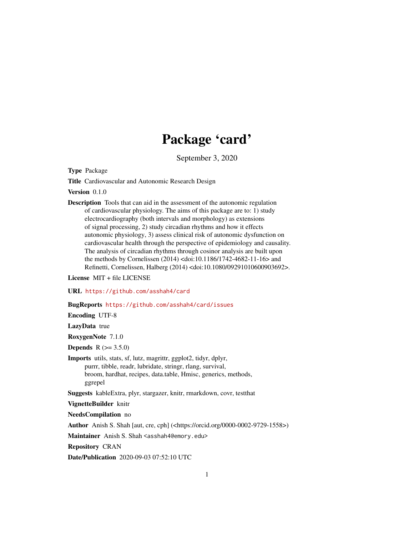## Package 'card'

September 3, 2020

<span id="page-0-0"></span>Type Package

Title Cardiovascular and Autonomic Research Design

Version 0.1.0

Description Tools that can aid in the assessment of the autonomic regulation of cardiovascular physiology. The aims of this package are to: 1) study electrocardiography (both intervals and morphology) as extensions of signal processing, 2) study circadian rhythms and how it effects autonomic physiology, 3) assess clinical risk of autonomic dysfunction on cardiovascular health through the perspective of epidemiology and causality. The analysis of circadian rhythms through cosinor analysis are built upon the methods by Cornelissen (2014) <doi:10.1186/1742-4682-11-16> and Refinetti, Cornelissen, Halberg (2014) <doi:10.1080/09291010600903692>.

License MIT + file LICENSE

URL <https://github.com/asshah4/card>

BugReports <https://github.com/asshah4/card/issues>

Encoding UTF-8

LazyData true

RoxygenNote 7.1.0

**Depends**  $R (= 3.5.0)$ 

Imports utils, stats, sf, lutz, magrittr, ggplot2, tidyr, dplyr, purrr, tibble, readr, lubridate, stringr, rlang, survival, broom, hardhat, recipes, data.table, Hmisc, generics, methods, ggrepel

Suggests kableExtra, plyr, stargazer, knitr, rmarkdown, covr, testthat

VignetteBuilder knitr

NeedsCompilation no

Author Anish S. Shah [aut, cre, cph] (<https://orcid.org/0000-0002-9729-1558>)

Maintainer Anish S. Shah <asshah4@emory.edu>

Repository CRAN

Date/Publication 2020-09-03 07:52:10 UTC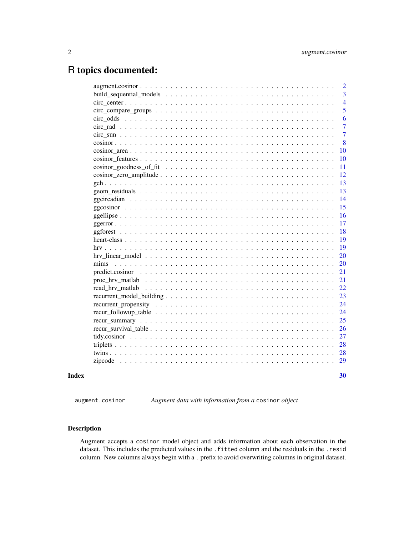## <span id="page-1-0"></span>R topics documented:

|      | $augment. cosinor \dots \dots \dots \dots \dots \dots \dots \dots \dots \dots \dots \dots \dots \dots \dots \dots$ |  |  |  |  |  |  |  |  |  |  |  |  |  | $\overline{2}$ |
|------|--------------------------------------------------------------------------------------------------------------------|--|--|--|--|--|--|--|--|--|--|--|--|--|----------------|
|      |                                                                                                                    |  |  |  |  |  |  |  |  |  |  |  |  |  | 3              |
|      |                                                                                                                    |  |  |  |  |  |  |  |  |  |  |  |  |  | $\overline{4}$ |
|      |                                                                                                                    |  |  |  |  |  |  |  |  |  |  |  |  |  | 5              |
|      |                                                                                                                    |  |  |  |  |  |  |  |  |  |  |  |  |  | 6              |
|      |                                                                                                                    |  |  |  |  |  |  |  |  |  |  |  |  |  | $\overline{7}$ |
|      |                                                                                                                    |  |  |  |  |  |  |  |  |  |  |  |  |  | $\overline{7}$ |
|      |                                                                                                                    |  |  |  |  |  |  |  |  |  |  |  |  |  | 8              |
|      |                                                                                                                    |  |  |  |  |  |  |  |  |  |  |  |  |  | 10             |
|      |                                                                                                                    |  |  |  |  |  |  |  |  |  |  |  |  |  | 10             |
|      |                                                                                                                    |  |  |  |  |  |  |  |  |  |  |  |  |  | 11             |
|      |                                                                                                                    |  |  |  |  |  |  |  |  |  |  |  |  |  | 12             |
|      |                                                                                                                    |  |  |  |  |  |  |  |  |  |  |  |  |  | 13             |
|      |                                                                                                                    |  |  |  |  |  |  |  |  |  |  |  |  |  | 13             |
|      |                                                                                                                    |  |  |  |  |  |  |  |  |  |  |  |  |  | 14             |
|      |                                                                                                                    |  |  |  |  |  |  |  |  |  |  |  |  |  | 15             |
|      |                                                                                                                    |  |  |  |  |  |  |  |  |  |  |  |  |  | 16             |
|      |                                                                                                                    |  |  |  |  |  |  |  |  |  |  |  |  |  | 17             |
|      |                                                                                                                    |  |  |  |  |  |  |  |  |  |  |  |  |  | 18             |
|      |                                                                                                                    |  |  |  |  |  |  |  |  |  |  |  |  |  | 19             |
|      |                                                                                                                    |  |  |  |  |  |  |  |  |  |  |  |  |  | 19             |
|      |                                                                                                                    |  |  |  |  |  |  |  |  |  |  |  |  |  | 20             |
| mims |                                                                                                                    |  |  |  |  |  |  |  |  |  |  |  |  |  | 20             |
|      |                                                                                                                    |  |  |  |  |  |  |  |  |  |  |  |  |  | 21             |
|      |                                                                                                                    |  |  |  |  |  |  |  |  |  |  |  |  |  | 21             |
|      |                                                                                                                    |  |  |  |  |  |  |  |  |  |  |  |  |  | 22             |
|      |                                                                                                                    |  |  |  |  |  |  |  |  |  |  |  |  |  | 23             |
|      |                                                                                                                    |  |  |  |  |  |  |  |  |  |  |  |  |  | 24             |
|      |                                                                                                                    |  |  |  |  |  |  |  |  |  |  |  |  |  | 24             |
|      |                                                                                                                    |  |  |  |  |  |  |  |  |  |  |  |  |  | 25             |
|      |                                                                                                                    |  |  |  |  |  |  |  |  |  |  |  |  |  | 26             |
|      |                                                                                                                    |  |  |  |  |  |  |  |  |  |  |  |  |  | 27             |
|      |                                                                                                                    |  |  |  |  |  |  |  |  |  |  |  |  |  | 28             |
|      |                                                                                                                    |  |  |  |  |  |  |  |  |  |  |  |  |  | 28             |
|      |                                                                                                                    |  |  |  |  |  |  |  |  |  |  |  |  |  | 29             |
|      |                                                                                                                    |  |  |  |  |  |  |  |  |  |  |  |  |  | 30             |

<span id="page-1-1"></span>augment.cosinor *Augment data with information from a* cosinor *object*

## Description

Augment accepts a cosinor model object and adds information about each observation in the dataset. This includes the predicted values in the .fitted column and the residuals in the .resid column. New columns always begin with a . prefix to avoid overwriting columns in original dataset.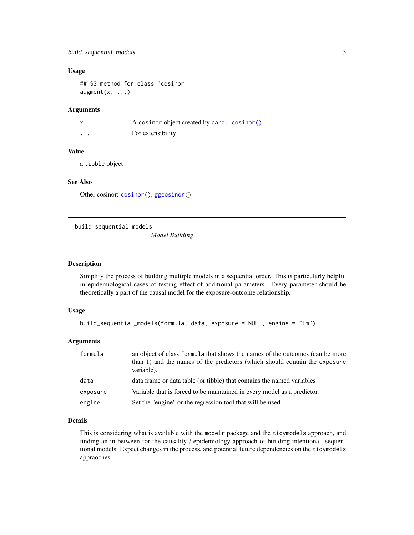#### <span id="page-2-0"></span>Usage

```
## S3 method for class 'cosinor'
augment(x, \ldots)
```
#### Arguments

|          | A cosinor object created by card:: cosinor () |
|----------|-----------------------------------------------|
| $\cdots$ | For extensibility                             |

#### Value

a tibble object

## See Also

Other cosinor: [cosinor\(](#page-7-1)), [ggcosinor\(](#page-14-1))

build\_sequential\_models

*Model Building*

## Description

Simplify the process of building multiple models in a sequential order. This is particularly helpful in epidemiological cases of testing effect of additional parameters. Every parameter should be theoretically a part of the causal model for the exposure-outcome relationship.

#### Usage

```
build_sequential_models(formula, data, exposure = NULL, engine = "lm")
```
## Arguments

| formula  | an object of class formula that shows the names of the outcomes (can be more<br>than 1) and the names of the predictors (which should contain the exposure<br>variable). |
|----------|--------------------------------------------------------------------------------------------------------------------------------------------------------------------------|
| data     | data frame or data table (or tibble) that contains the named variables                                                                                                   |
| exposure | Variable that is forced to be maintained in every model as a predictor.                                                                                                  |
| engine   | Set the "engine" or the regression tool that will be used                                                                                                                |

## Details

This is considering what is available with the modelr package and the tidymodels approach, and finding an in-between for the causality / epidemiology approach of building intentional, sequentional models. Expect changes in the process, and potential future dependencies on the tidymodels appraoches.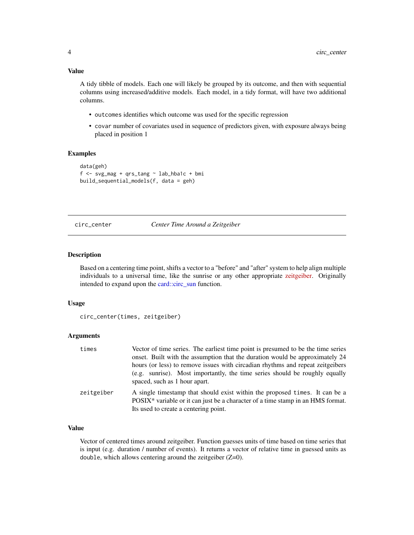## <span id="page-3-0"></span>Value

A tidy tibble of models. Each one will likely be grouped by its outcome, and then with sequential columns using increased/additive models. Each model, in a tidy format, will have two additional columns.

- outcomes identifies which outcome was used for the specific regression
- covar number of covariates used in sequence of predictors given, with exposure always being placed in position 1

#### Examples

```
data(geh)
f \leftarrow \text{svg\_mag} + \text{qrs\_tang} \sim \text{lab\_hba1c} + \text{bmi}build_sequential_models(f, data = geh)
```
circ\_center *Center Time Around a Zeitgeiber*

#### Description

Based on a centering time point, shifts a vector to a "before" and "after" system to help align multiple individuals to a universal time, like the sunrise or any other appropriate [zeitgeiber.](https://en.wikipedia.org/wiki/Zeitgeber) Originally intended to expand upon the [card::circ\\_sun](#page-0-0) function.

#### Usage

```
circ_center(times, zeitgeiber)
```
## Arguments

| times      | Vector of time series. The earliest time point is presumed to be the time series<br>onset. Built with the assumption that the duration would be approximately 24<br>hours (or less) to remove issues with circadian rhythms and repeat zeitgeibers |
|------------|----------------------------------------------------------------------------------------------------------------------------------------------------------------------------------------------------------------------------------------------------|
|            | (e.g. sunrise). Most importantly, the time series should be roughly equally<br>spaced, such as 1 hour apart.                                                                                                                                       |
| zeitgeiber | A single timestamp that should exist within the proposed times. It can be a<br>POSIX* variable or it can just be a character of a time stamp in an HMS format.<br>Its used to create a centering point.                                            |

#### Value

Vector of centered times around zeitgeiber. Function guesses units of time based on time series that is input (e.g. duration / number of events). It returns a vector of relative time in guessed units as double, which allows centering around the zeitgeiber (Z=0).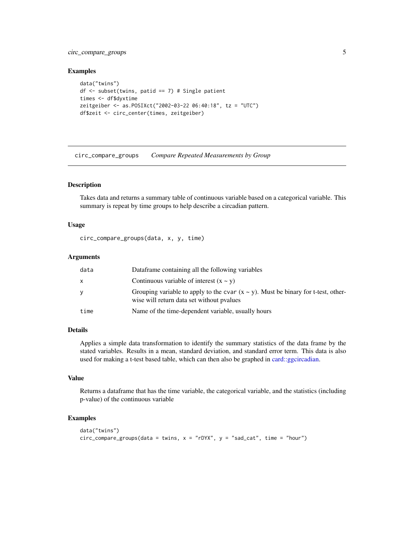## <span id="page-4-0"></span>circ\_compare\_groups 5

## Examples

```
data("twins")
df \leq subset(twins, patid == 7) # Single patient
times <- df$dyxtime
zeitgeiber <- as.POSIXct("2002-03-22 06:40:18", tz = "UTC")
df$zeit <- circ_center(times, zeitgeiber)
```
circ\_compare\_groups *Compare Repeated Measurements by Group*

## Description

Takes data and returns a summary table of continuous variable based on a categorical variable. This summary is repeat by time groups to help describe a circadian pattern.

## Usage

circ\_compare\_groups(data, x, y, time)

## Arguments

| data | Dataframe containing all the following variables                                                                                     |
|------|--------------------------------------------------------------------------------------------------------------------------------------|
| x    | Continuous variable of interest $(x - y)$                                                                                            |
| V    | Grouping variable to apply to the cvar $(x \sim y)$ . Must be binary for t-test, other-<br>wise will return data set without pyalues |
| time | Name of the time-dependent variable, usually hours                                                                                   |

## Details

Applies a simple data transformation to identify the summary statistics of the data frame by the stated variables. Results in a mean, standard deviation, and standard error term. This data is also used for making a t-test based table, which can then also be graphed in [card::ggcircadian.](#page-0-0)

## Value

Returns a dataframe that has the time variable, the categorical variable, and the statistics (including p-value) of the continuous variable

#### Examples

```
data("twins")
circ\_compare\_groups(data = twins, x = "rDYX", y = "sad\_cat", time = "hour")
```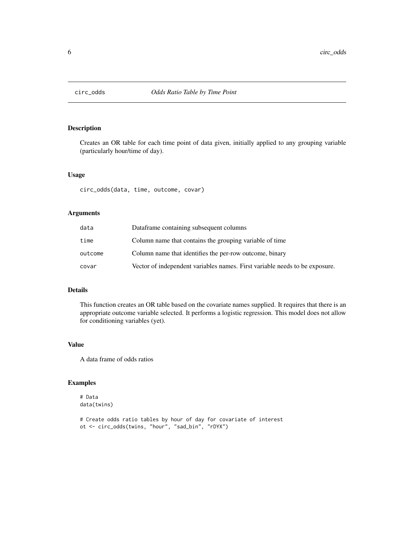<span id="page-5-0"></span>

Creates an OR table for each time point of data given, initially applied to any grouping variable (particularly hour/time of day).

## Usage

circ\_odds(data, time, outcome, covar)

## Arguments

| data    | Dataframe containing subsequent columns                                     |
|---------|-----------------------------------------------------------------------------|
| time    | Column name that contains the grouping variable of time                     |
| outcome | Column name that identifies the per-row outcome, binary                     |
| covar   | Vector of independent variables names. First variable needs to be exposure. |

## Details

This function creates an OR table based on the covariate names supplied. It requires that there is an appropriate outcome variable selected. It performs a logistic regression. This model does not allow for conditioning variables (yet).

#### Value

A data frame of odds ratios

## Examples

```
# Data
data(twins)
# Create odds ratio tables by hour of day for covariate of interest
```

```
ot <- circ_odds(twins, "hour", "sad_bin", "rDYX")
```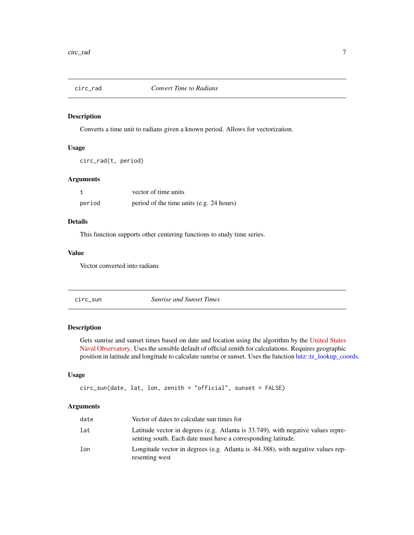<span id="page-6-0"></span>

Converts a time unit to radians given a known period. Allows for vectorization.

## Usage

circ\_rad(t, period)

## Arguments

|        | vector of time units                     |
|--------|------------------------------------------|
| period | period of the time units (e.g. 24 hours) |

## Details

This function supports other centering functions to study time series.

## Value

Vector converted into radians

circ\_sun *Sunrise and Sunset Times*

## Description

Gets sunrise and sunset times based on date and location using the algorithm by the [United States](http://www.edwilliams.org/sunrise_sunset_algorithm.htm) [Naval Observatory.](http://www.edwilliams.org/sunrise_sunset_algorithm.htm) Uses the sensible default of official zenith for calculations. Requires geographic position in latitude and longitude to calculate sunrise or sunset. Uses the function [lutz::tz\\_lookup\\_coords.](#page-0-0)

## Usage

```
circ_sun(date, lat, lon, zenith = "official", sunset = FALSE)
```
#### Arguments

| date | Vector of dates to calculate sun times for                                                                                                       |
|------|--------------------------------------------------------------------------------------------------------------------------------------------------|
| lat  | Latitude vector in degrees (e.g. Atlanta is 33.749), with negative values repre-<br>senting south. Each date must have a corresponding latitude. |
| lon  | Longitude vector in degrees (e.g. Atlanta is -84.388), with negative values rep-<br>resenting west                                               |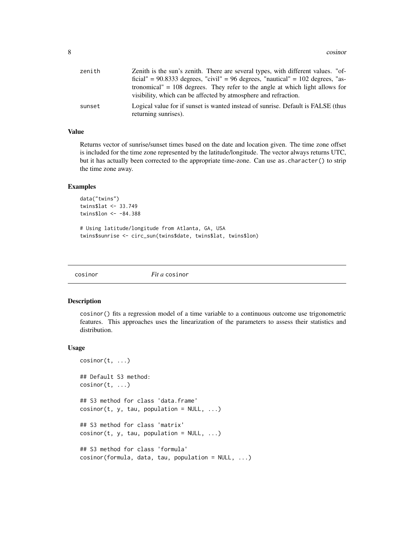<span id="page-7-0"></span>

| zenith | Zenith is the sun's zenith. There are several types, with different values. "of-                                                                  |
|--------|---------------------------------------------------------------------------------------------------------------------------------------------------|
|        | ficial" = $90.8333$ degrees, "civil" = $96$ degrees, "nautical" = $102$ degrees, "as-                                                             |
|        | tronomical" $= 108$ degrees. They refer to the angle at which light allows for<br>visibility, which can be affected by atmosphere and refraction. |
| sunset | Logical value for if sunset is wanted instead of sunrise. Default is FALSE (thus<br>returning sunrises).                                          |

#### Value

Returns vector of sunrise/sunset times based on the date and location given. The time zone offset is included for the time zone represented by the latitude/longitude. The vector always returns UTC, but it has actually been corrected to the appropriate time-zone. Can use as.character() to strip the time zone away.

#### Examples

```
data("twins")
twins$lat <- 33.749
twins$lon <- -84.388
```

```
# Using latitude/longitude from Atlanta, GA, USA
twins$sunrise <- circ_sun(twins$date, twins$lat, twins$lon)
```
<span id="page-7-1"></span>

cosinor *Fit a* cosinor

#### Description

cosinor() fits a regression model of a time variable to a continuous outcome use trigonometric features. This approaches uses the linearization of the parameters to assess their statistics and distribution.

#### Usage

```
cosinor(t, \ldots)## Default S3 method:
cosinor(t, \ldots)## S3 method for class 'data.frame'
cosinor(t, y, tau, population = NULL, ...)## S3 method for class 'matrix'
cosinor(t, y, tau, population = NULL, ...)## S3 method for class 'formula'
cosinor(formula, data, tau, population = NULL, ...)
```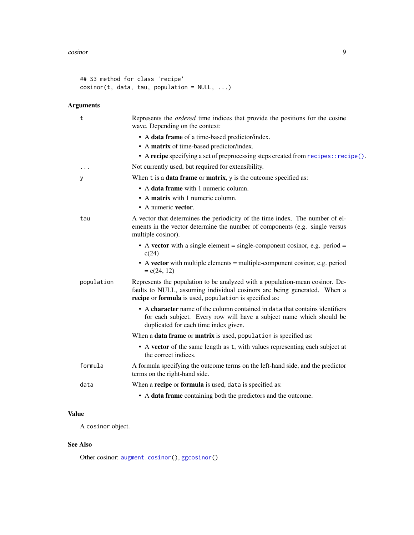```
## S3 method for class 'recipe'
cosinor(t, data, tau, population = NULL, ...)
```
## Arguments

| t          | Represents the <i>ordered</i> time indices that provide the positions for the cosine<br>wave. Depending on the context:                                                                                            |
|------------|--------------------------------------------------------------------------------------------------------------------------------------------------------------------------------------------------------------------|
|            | • A data frame of a time-based predictor/index.                                                                                                                                                                    |
|            | • A matrix of time-based predictor/index.                                                                                                                                                                          |
|            | • A recipe specifying a set of preprocessing steps created from recipes:: recipe().                                                                                                                                |
|            | Not currently used, but required for extensibility.                                                                                                                                                                |
| У          | When t is a <b>data frame</b> or <b>matrix</b> , y is the outcome specified as:                                                                                                                                    |
|            | • A data frame with 1 numeric column.                                                                                                                                                                              |
|            | • A matrix with 1 numeric column.                                                                                                                                                                                  |
|            | • A numeric vector.                                                                                                                                                                                                |
| tau        | A vector that determines the periodicity of the time index. The number of el-<br>ements in the vector determine the number of components (e.g. single versus<br>multiple cosinor).                                 |
|            | • A vector with a single element = single-component cosinor, e.g. period =<br>c(24)                                                                                                                                |
|            | • A vector with multiple elements $=$ multiple-component cosinor, e.g. period<br>$= c(24, 12)$                                                                                                                     |
| population | Represents the population to be analyzed with a population-mean cosinor. De-<br>faults to NULL, assuming individual cosinors are being generated. When a<br>recipe or formula is used, population is specified as: |
|            | • A character name of the column contained in data that contains identifiers<br>for each subject. Every row will have a subject name which should be<br>duplicated for each time index given.                      |
|            | When a data frame or matrix is used, population is specified as:                                                                                                                                                   |
|            | • A vector of the same length as t, with values representing each subject at<br>the correct indices.                                                                                                               |
| formula    | A formula specifying the outcome terms on the left-hand side, and the predictor<br>terms on the right-hand side.                                                                                                   |
| data       | When a <b>recipe</b> or <b>formula</b> is used, data is specified as:                                                                                                                                              |
|            | • A data frame containing both the predictors and the outcome.                                                                                                                                                     |

## Value

A cosinor object.

## See Also

Other cosinor: [augment.cosinor\(](#page-1-1)), [ggcosinor\(](#page-14-1))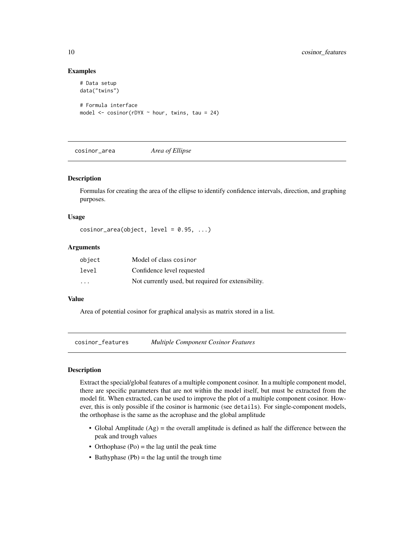#### Examples

```
# Data setup
data("twins")
# Formula interface
model \leq cosinor(rDYX \sim hour, twins, tau = 24)
```
cosinor\_area *Area of Ellipse*

#### Description

Formulas for creating the area of the ellipse to identify confidence intervals, direction, and graphing purposes.

#### Usage

```
cosinor_area(object, level = 0.95, ...)
```
#### Arguments

| object                  | Model of class cosinor                              |
|-------------------------|-----------------------------------------------------|
| level                   | Confidence level requested                          |
| $\cdot$ $\cdot$ $\cdot$ | Not currently used, but required for extensibility. |

## Value

Area of potential cosinor for graphical analysis as matrix stored in a list.

cosinor\_features *Multiple Component Cosinor Features*

## Description

Extract the special/global features of a multiple component cosinor. In a multiple component model, there are specific parameters that are not within the model itself, but must be extracted from the model fit. When extracted, can be used to improve the plot of a multiple component cosinor. However, this is only possible if the cosinor is harmonic (see details). For single-component models, the orthophase is the same as the acrophase and the global amplitude

- Global Amplitude  $(Ag)$  = the overall amplitude is defined as half the difference between the peak and trough values
- Orthophase  $(Po)$  = the lag until the peak time
- Bathyphase  $(Pb)$  = the lag until the trough time

<span id="page-9-0"></span>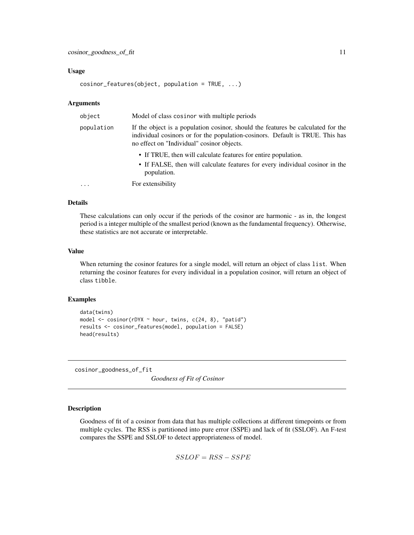#### <span id="page-10-0"></span>Usage

```
cosinor_features(object, population = TRUE, ...)
```
#### Arguments

| object     | Model of class cosinor with multiple periods                                                                                                                                                                    |
|------------|-----------------------------------------------------------------------------------------------------------------------------------------------------------------------------------------------------------------|
| population | If the object is a population cosinor, should the features be calculated for the<br>individual cosinors or for the population-cosinors. Default is TRUE. This has<br>no effect on "Individual" cosinor objects. |
|            | • If TRUE, then will calculate features for entire population.<br>• If FALSE, then will calculate features for every individual cosinor in the<br>population.                                                   |
| $\ddotsc$  | For extensibility                                                                                                                                                                                               |

## Details

These calculations can only occur if the periods of the cosinor are harmonic - as in, the longest period is a integer multiple of the smallest period (known as the fundamental frequency). Otherwise, these statistics are not accurate or interpretable.

#### Value

When returning the cosinor features for a single model, will return an object of class list. When returning the cosinor features for every individual in a population cosinor, will return an object of class tibble.

## Examples

```
data(twins)
model \leq cosinor(rDYX \sim hour, twins, c(24, 8), "patid")
results <- cosinor_features(model, population = FALSE)
head(results)
```
cosinor\_goodness\_of\_fit *Goodness of Fit of Cosinor*

## Description

Goodness of fit of a cosinor from data that has multiple collections at different timepoints or from multiple cycles. The RSS is partitioned into pure error (SSPE) and lack of fit (SSLOF). An F-test compares the SSPE and SSLOF to detect appropriateness of model.

 $SSLOF = RSS - SSPE$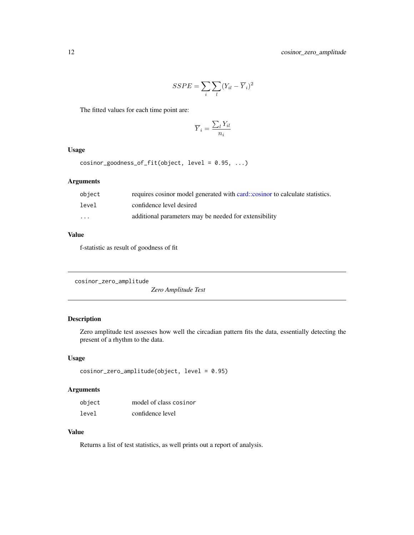$$
SSPE = \sum_{i} \sum_{l} (Y_{il} - \overline{Y}_{i})^{2}
$$

<span id="page-11-0"></span>The fitted values for each time point are:

$$
\overline{Y}_i = \frac{\sum_l Y_{il}}{n_i}
$$

## Usage

cosinor\_goodness\_of\_fit(object, level = 0.95, ...)

## Arguments

| object   | requires cosinor model generated with card::cosinor to calculate statistics. |
|----------|------------------------------------------------------------------------------|
| level    | confidence level desired                                                     |
| $\cdots$ | additional parameters may be needed for extensibility                        |

## Value

f-statistic as result of goodness of fit

```
cosinor_zero_amplitude
```
*Zero Amplitude Test*

## Description

Zero amplitude test assesses how well the circadian pattern fits the data, essentially detecting the present of a rhythm to the data.

#### Usage

```
cosinor_zero_amplitude(object, level = 0.95)
```
## Arguments

| object | model of class cosinor |
|--------|------------------------|
| level  | confidence level       |

## Value

Returns a list of test statistics, as well prints out a report of analysis.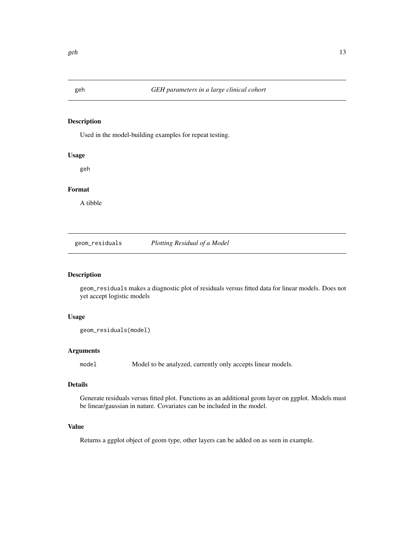<span id="page-12-0"></span>

Used in the model-building examples for repeat testing.

## Usage

geh

## Format

A tibble

geom\_residuals *Plotting Residual of a Model*

## Description

geom\_residuals makes a diagnostic plot of residuals versus fitted data for linear models. Does not yet accept logistic models

## Usage

```
geom_residuals(model)
```
## Arguments

model Model to be analyzed, currently only accepts linear models.

## Details

Generate residuals versus fitted plot. Functions as an additional geom layer on ggplot. Models must be linear/gaussian in nature. Covariates can be included in the model.

#### Value

Returns a ggplot object of geom type, other layers can be added on as seen in example.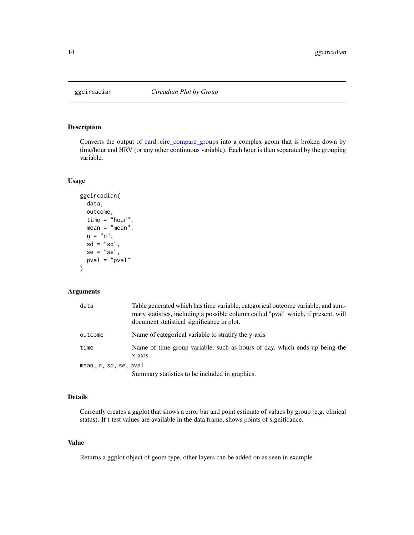<span id="page-13-0"></span>

Converts the output of [card::circ\\_compare\\_groups](#page-0-0) into a complex geom that is broken down by time/hour and HRV (or any other continuous variable). Each hour is then separated by the grouping variable.

#### Usage

```
ggcircadian(
 data,
 outcome,
 time = "hour",
 mean = "mean",n = "n",sd = "sd",se = "se",pval = "pval"
)
```
## Arguments

| data                  | Table generated which has time variable, categorical outcome variable, and sum-<br>mary statistics, including a possible column called "pval" which, if present, will<br>document statistical significance in plot. |
|-----------------------|---------------------------------------------------------------------------------------------------------------------------------------------------------------------------------------------------------------------|
| outcome               | Name of categorical variable to stratify the y-axis                                                                                                                                                                 |
| time                  | Name of time group variable, such as hours of day, which ends up being the<br>$x-axis$                                                                                                                              |
| mean, n, sd, se, pval |                                                                                                                                                                                                                     |
|                       | Summary statistics to be included in graphics.                                                                                                                                                                      |

#### Details

Currently creates a ggplot that shows a error bar and point estimate of values by group (e.g. clinical status). If t-test values are available in the data frame, shows points of significance.

## Value

Returns a ggplot object of geom type, other layers can be added on as seen in example.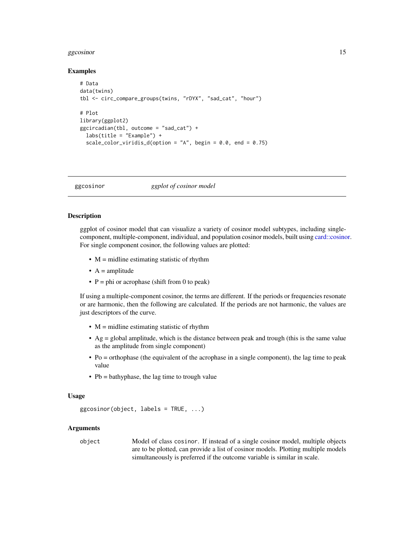#### <span id="page-14-0"></span>ggcosinor and the set of the set of the set of the set of the set of the set of the set of the set of the set of the set of the set of the set of the set of the set of the set of the set of the set of the set of the set of

#### Examples

```
# Data
data(twins)
tbl <- circ_compare_groups(twins, "rDYX", "sad_cat", "hour")
# Plot
library(ggplot2)
ggcircadian(tbl, outcome = "sad_cat") +
 labs(title = "Example") +
 scale_color_viridis_d(option = "A", begin = 0.0, end = 0.75)
```
<span id="page-14-1"></span>ggcosinor *ggplot of cosinor model*

#### Description

ggplot of cosinor model that can visualize a variety of cosinor model subtypes, including singlecomponent, multiple-component, individual, and population cosinor models, built using [card::cosinor.](#page-0-0) For single component cosinor, the following values are plotted:

- M = midline estimating statistic of rhythm
- $A =$ amplitude
- $P = phi$  or acrophase (shift from 0 to peak)

If using a multiple-component cosinor, the terms are different. If the periods or frequencies resonate or are harmonic, then the following are calculated. If the periods are not harmonic, the values are just descriptors of the curve.

- M = midline estimating statistic of rhythm
- $Ag = global amplitude$ , which is the distance between peak and trough (this is the same value as the amplitude from single component)
- Po = orthophase (the equivalent of the acrophase in a single component), the lag time to peak value
- Pb = bathyphase, the lag time to trough value

#### Usage

```
ggcosinor(object, labels = TRUE, ...)
```
#### Arguments

object Model of class cosinor. If instead of a single cosinor model, multiple objects are to be plotted, can provide a list of cosinor models. Plotting multiple models simultaneously is preferred if the outcome variable is similar in scale.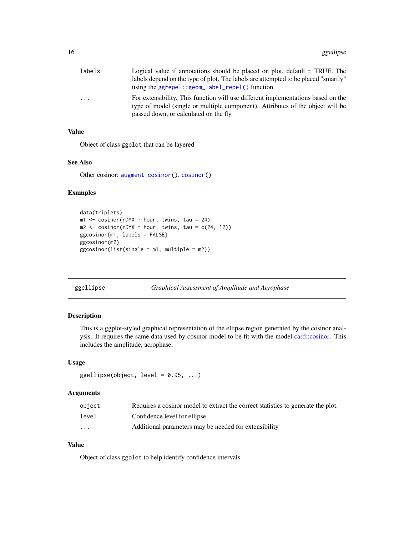<span id="page-15-0"></span>

| labels<br>$\cdots$ | Logical value if annotations should be placed on plot, default $=$ TRUE. The                                                                                       |
|--------------------|--------------------------------------------------------------------------------------------------------------------------------------------------------------------|
|                    | labels depend on the type of plot. The labels are attempted to be placed "smartly"                                                                                 |
|                    | using the $ggrepel::geom\_label\_repel()$ function.                                                                                                                |
|                    | For extensibility. This function will use different implementations based on the<br>type of model (single or multiple component). Attributes of the object will be |
|                    | passed down, or calculated on the fly.                                                                                                                             |

## Value

Object of class ggplot that can be layered

#### See Also

Other cosinor: [augment.cosinor\(](#page-1-1)), [cosinor\(](#page-7-1))

## Examples

```
data(triplets)
m1 <- cosinor(rDYX \sim hour, twins, tau = 24)
m2 \leq -\cosh(n\text{D}Y) \leq \text{hour}, \text{ twins}, \text{tau} = c(24, 12)ggcosinor(m1, labels = FALSE)
ggcosinor(m2)
ggcosinor(list(single = m1, multiple = m2))
```
ggellipse *Graphical Assessment of Amplitude and Acrophase*

## Description

This is a ggplot-styled graphical representation of the ellipse region generated by the cosinor analysis. It requires the same data used by cosinor model to be fit with the model [card::cosinor.](#page-0-0) This includes the amplitude, acrophase,

## Usage

```
ggellipse(object, level = 0.95, ...)
```
#### Arguments

| object   | Requires a cosinor model to extract the correct statistics to generate the plot. |
|----------|----------------------------------------------------------------------------------|
| level    | Confidence level for ellipse                                                     |
| $\cdots$ | Additional parameters may be needed for extensibility                            |

## Value

Object of class ggplot to help identify confidence intervals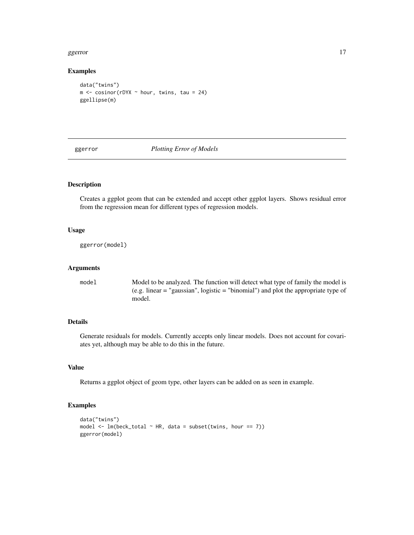#### <span id="page-16-0"></span>ggerror that the set of the set of the set of the set of the set of the set of the set of the set of the set of the set of the set of the set of the set of the set of the set of the set of the set of the set of the set of

#### Examples

```
data("twins")
m \le -\cosinor(rDYX - hour, twins, tau = 24)ggellipse(m)
```
ggerror *Plotting Error of Models*

## Description

Creates a ggplot geom that can be extended and accept other ggplot layers. Shows residual error from the regression mean for different types of regression models.

## Usage

ggerror(model)

## Arguments

model Model to be analyzed. The function will detect what type of family the model is (e.g. linear = "gaussian", logistic = "binomial") and plot the appropriate type of model.

## Details

Generate residuals for models. Currently accepts only linear models. Does not account for covariates yet, although may be able to do this in the future.

## Value

Returns a ggplot object of geom type, other layers can be added on as seen in example.

## Examples

```
data("twins")
model <- lm(beck_total ~ HR, data = subset(twins, hour == 7))
ggerror(model)
```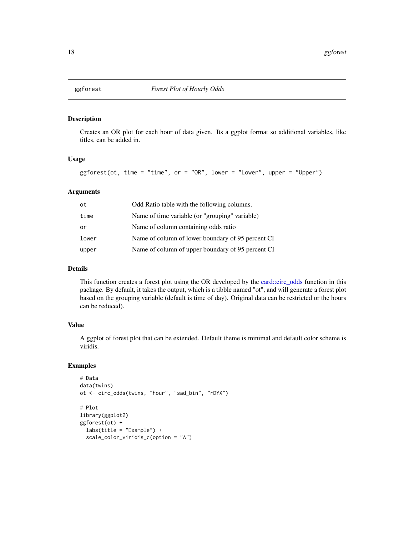<span id="page-17-0"></span>

Creates an OR plot for each hour of data given. Its a ggplot format so additional variables, like titles, can be added in.

## Usage

 $ggforest(ot, time = "time", or = "OR", lower = "Lower", upper = "Upper")$ 

## Arguments

| ot    | Odd Ratio table with the following columns.       |
|-------|---------------------------------------------------|
| time  | Name of time variable (or "grouping" variable)    |
| or    | Name of column containing odds ratio              |
| lower | Name of column of lower boundary of 95 percent CI |
| upper | Name of column of upper boundary of 95 percent CI |

#### Details

This function creates a forest plot using the OR developed by the [card::circ\\_odds](#page-0-0) function in this package. By default, it takes the output, which is a tibble named "ot", and will generate a forest plot based on the grouping variable (default is time of day). Original data can be restricted or the hours can be reduced).

## Value

A ggplot of forest plot that can be extended. Default theme is minimal and default color scheme is viridis.

#### Examples

```
# Data
data(twins)
ot <- circ_odds(twins, "hour", "sad_bin", "rDYX")
# Plot
library(ggplot2)
ggforest(ot) +
  labs(title = "Example") +
  scale_color_viridis_c(option = "A")
```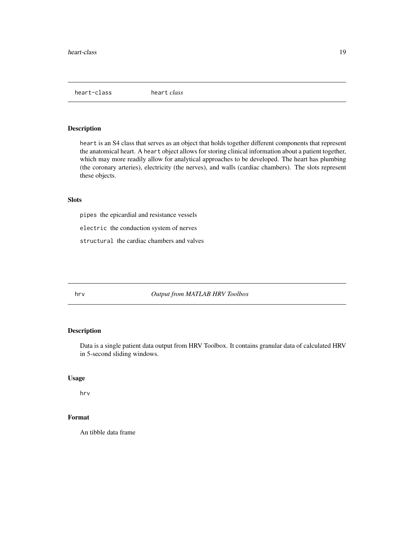<span id="page-18-0"></span>heart-class heart *class*

#### Description

heart is an S4 class that serves as an object that holds together different components that represent the anatomical heart. A heart object allows for storing clinical information about a patient together, which may more readily allow for analytical approaches to be developed. The heart has plumbing (the coronary arteries), electricity (the nerves), and walls (cardiac chambers). The slots represent these objects.

#### Slots

pipes the epicardial and resistance vessels

electric the conduction system of nerves

structural the cardiac chambers and valves

hrv *Output from MATLAB HRV Toolbox*

## Description

Data is a single patient data output from HRV Toolbox. It contains granular data of calculated HRV in 5-second sliding windows.

## Usage

hrv

## Format

An tibble data frame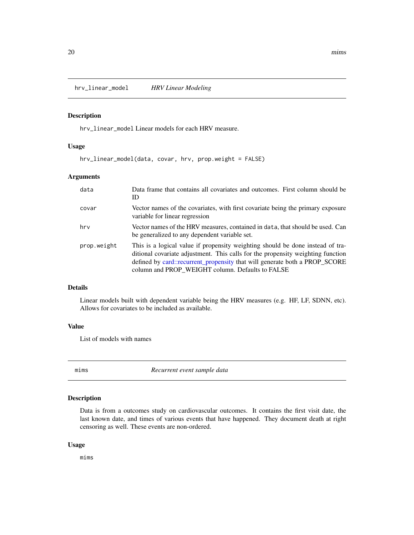<span id="page-19-0"></span>hrv\_linear\_model *HRV Linear Modeling*

## Description

hrv\_linear\_model Linear models for each HRV measure.

#### Usage

hrv\_linear\_model(data, covar, hrv, prop.weight = FALSE)

## Arguments

| data        | Data frame that contains all covariates and outcomes. First column should be<br>ID                                                                                                                                                                                                                  |
|-------------|-----------------------------------------------------------------------------------------------------------------------------------------------------------------------------------------------------------------------------------------------------------------------------------------------------|
| covar       | Vector names of the covariates, with first covariate being the primary exposure<br>variable for linear regression                                                                                                                                                                                   |
| hrv         | Vector names of the HRV measures, contained in data, that should be used. Can<br>be generalized to any dependent variable set.                                                                                                                                                                      |
| prop.weight | This is a logical value if propensity weighting should be done instead of tra-<br>ditional covariate adjustment. This calls for the propensity weighting function<br>defined by card::recurrent_propensity that will generate both a PROP_SCORE<br>column and PROP WEIGHT column. Defaults to FALSE |

## Details

Linear models built with dependent variable being the HRV measures (e.g. HF, LF, SDNN, etc). Allows for covariates to be included as available.

## Value

List of models with names

mims *Recurrent event sample data*

#### Description

Data is from a outcomes study on cardiovascular outcomes. It contains the first visit date, the last known date, and times of various events that have happened. They document death at right censoring as well. These events are non-ordered.

#### Usage

mims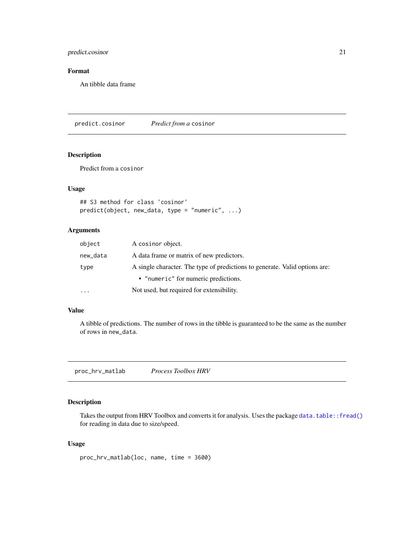## <span id="page-20-0"></span>predict.cosinor 21

## Format

An tibble data frame

predict.cosinor *Predict from a* cosinor

## Description

Predict from a cosinor

## Usage

```
## S3 method for class 'cosinor'
predict(object, new_data, type = "numeric", ...)
```
## Arguments

| object   | A cosinor object.                                                           |
|----------|-----------------------------------------------------------------------------|
| new_data | A data frame or matrix of new predictors.                                   |
| type     | A single character. The type of predictions to generate. Valid options are: |
|          | • "numeric" for numeric predictions.                                        |
| $\cdots$ | Not used, but required for extensibility.                                   |

#### Value

A tibble of predictions. The number of rows in the tibble is guaranteed to be the same as the number of rows in new\_data.

proc\_hrv\_matlab *Process Toolbox HRV*

## Description

Takes the output from HRV Toolbox and converts it for analysis. Uses the package [data.table::fread\(\)](#page-0-0) for reading in data due to size/speed.

#### Usage

proc\_hrv\_matlab(loc, name, time = 3600)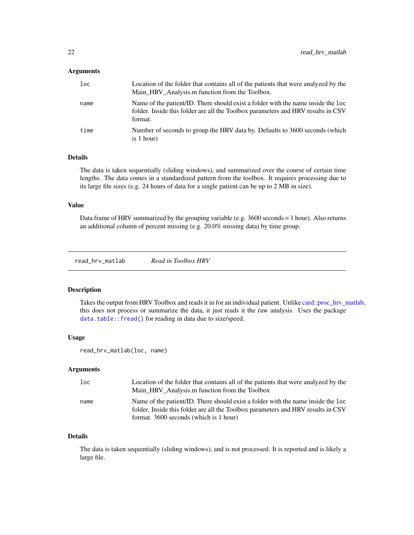## <span id="page-21-0"></span>Arguments

| 1 <sub>oc</sub> | Location of the folder that contains all of the patients that were analyzed by the<br>Main_HRV_Analysis.m function from the Toolbox.                                            |
|-----------------|---------------------------------------------------------------------------------------------------------------------------------------------------------------------------------|
| name            | Name of the patient/ID. There should exist a folder with the name inside the loc<br>folder. Inside this folder are all the Toolbox parameters and HRV results in CSV<br>format. |
| time            | Number of seconds to group the HRV data by. Defaults to 3600 seconds (which<br>is 1 hour)                                                                                       |

## Details

The data is taken sequentially (sliding windows), and summarized over the course of certain time lengths. The data comes in a standardized pattern from the toolbox. It requires processing due to its large file sizes (e.g. 24 hours of data for a single patient can be up to 2 MB in size).

## Value

Data frame of HRV summarized by the grouping variable (e.g. 3600 seconds = 1 hour). Also returns an additional column of percent missing (e.g. 20.0% missing data) by time group.

read\_hrv\_matlab *Read in Toolbox HRV*

## Description

Takes the output from HRV Toolbox and reads it in for an individual patient. Unlike [card::proc\\_hrv\\_matlab,](#page-0-0) this does not process or summarize the data, it just reads it the raw analysis. Uses the package [data.table::fread\(\)](#page-0-0) for reading in data due to size/speed.

#### Usage

```
read_hrv_matlab(loc, name)
```
#### Arguments

| loc. | Location of the folder that contains all of the patients that were analyzed by the<br>Main HRV Analysis.m function from the Toolbox                                  |
|------|----------------------------------------------------------------------------------------------------------------------------------------------------------------------|
| name | Name of the patient/ID. There should exist a folder with the name inside the loc<br>folder. Inside this folder are all the Toolbox parameters and HRV results in CSV |
|      | format. 3600 seconds (which is 1 hour)                                                                                                                               |

#### Details

The data is taken sequentially (sliding windows), and is not processed. It is reported and is likely a large file.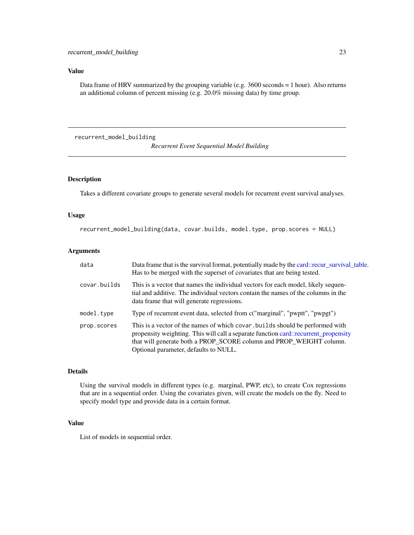## <span id="page-22-0"></span>Value

Data frame of HRV summarized by the grouping variable (e.g. 3600 seconds = 1 hour). Also returns an additional column of percent missing (e.g. 20.0% missing data) by time group.

recurrent\_model\_building

*Recurrent Event Sequential Model Building*

## Description

Takes a different covariate groups to generate several models for recurrent event survival analyses.

#### Usage

```
recurrent_model_building(data, covar.builds, model.type, prop.scores = NULL)
```
## Arguments

| data         | Data frame that is the survival format, potentially made by the card::recur_survival_table.<br>Has to be merged with the superset of covariates that are being tested.                                                                                                              |
|--------------|-------------------------------------------------------------------------------------------------------------------------------------------------------------------------------------------------------------------------------------------------------------------------------------|
| covar.builds | This is a vector that names the individual vectors for each model, likely sequen-<br>tial and additive. The individual vectors contain the names of the columns in the<br>data frame that will generate regressions.                                                                |
| model.type   | Type of recurrent event data, selected from c("marginal", "pwptt", "pwpgt")                                                                                                                                                                                                         |
| prop.scores  | This is a vector of the names of which covar builds should be performed with<br>propensity weighting. This will call a separate function card: recurrent_propensity<br>that will generate both a PROP_SCORE column and PROP_WEIGHT column.<br>Optional parameter, defaults to NULL. |

## Details

Using the survival models in different types (e.g. marginal, PWP, etc), to create Cox regressions that are in a sequential order. Using the covariates given, will create the models on the fly. Need to specify model type and provide data in a certain format.

## Value

List of models in sequential order.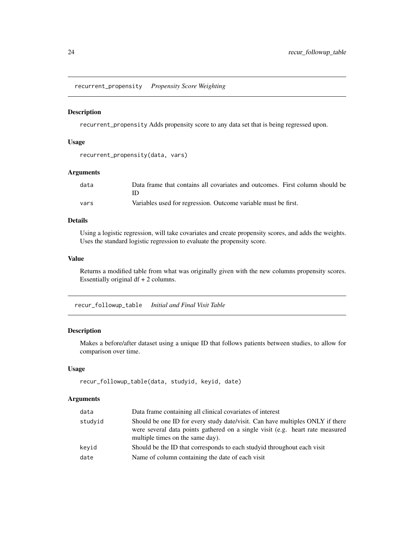<span id="page-23-0"></span>recurrent\_propensity *Propensity Score Weighting*

#### Description

recurrent\_propensity Adds propensity score to any data set that is being regressed upon.

## Usage

```
recurrent_propensity(data, vars)
```
#### Arguments

| data | Data frame that contains all covariates and outcomes. First column should be |
|------|------------------------------------------------------------------------------|
|      |                                                                              |
| vars | Variables used for regression. Outcome variable must be first.               |

## Details

Using a logistic regression, will take covariates and create propensity scores, and adds the weights. Uses the standard logistic regression to evaluate the propensity score.

#### Value

Returns a modified table from what was originally given with the new columns propensity scores. Essentially original df + 2 columns.

recur\_followup\_table *Initial and Final Visit Table*

## Description

Makes a before/after dataset using a unique ID that follows patients between studies, to allow for comparison over time.

#### Usage

```
recur_followup_table(data, studyid, keyid, date)
```
#### Arguments

| data    | Data frame containing all clinical covariates of interest                                                                                                                                          |
|---------|----------------------------------------------------------------------------------------------------------------------------------------------------------------------------------------------------|
| studvid | Should be one ID for every study date/visit. Can have multiples ONLY if there<br>were several data points gathered on a single visit (e.g. heart rate measured<br>multiple times on the same day). |
| kevid   | Should be the ID that corresponds to each study id throughout each visit                                                                                                                           |
| date    | Name of column containing the date of each visit                                                                                                                                                   |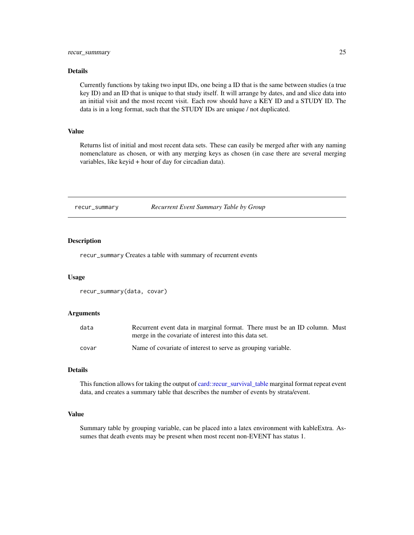## <span id="page-24-0"></span>Details

Currently functions by taking two input IDs, one being a ID that is the same between studies (a true key ID) and an ID that is unique to that study itself. It will arrange by dates, and and slice data into an initial visit and the most recent visit. Each row should have a KEY ID and a STUDY ID. The data is in a long format, such that the STUDY IDs are unique / not duplicated.

#### Value

Returns list of initial and most recent data sets. These can easily be merged after with any naming nomenclature as chosen, or with any merging keys as chosen (in case there are several merging variables, like keyid + hour of day for circadian data).

recur\_summary *Recurrent Event Summary Table by Group*

## Description

recur\_summary Creates a table with summary of recurrent events

#### Usage

```
recur_summary(data, covar)
```
#### Arguments

| data  | Recurrent event data in marginal format. There must be an ID column. Must |
|-------|---------------------------------------------------------------------------|
|       | merge in the covariate of interest into this data set.                    |
| covar | Name of covariate of interest to serve as grouping variable.              |

#### **Details**

This function allows for taking the output of [card::recur\\_survival\\_table](#page-0-0) marginal format repeat event data, and creates a summary table that describes the number of events by strata/event.

## Value

Summary table by grouping variable, can be placed into a latex environment with kableExtra. Assumes that death events may be present when most recent non-EVENT has status 1.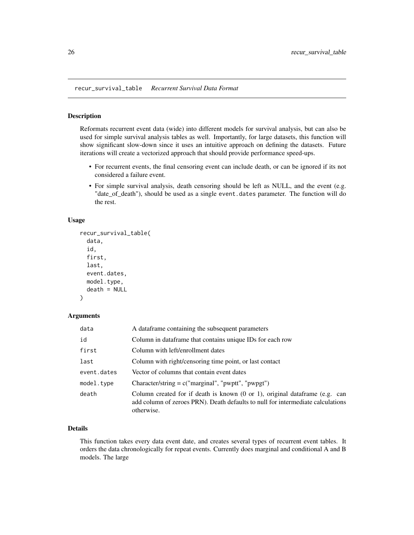<span id="page-25-0"></span>recur\_survival\_table *Recurrent Survival Data Format*

#### Description

Reformats recurrent event data (wide) into different models for survival analysis, but can also be used for simple survival analysis tables as well. Importantly, for large datasets, this function will show significant slow-down since it uses an intuitive approach on defining the datasets. Future iterations will create a vectorized approach that should provide performance speed-ups.

- For recurrent events, the final censoring event can include death, or can be ignored if its not considered a failure event.
- For simple survival analysis, death censoring should be left as NULL, and the event (e.g. "date\_of\_death"), should be used as a single event.dates parameter. The function will do the rest.

## Usage

```
recur_survival_table(
  data,
  id,
  first,
  last,
  event.dates,
  model.type,
  death = NULL
```
#### )

## Arguments

| data        | A dataframe containing the subsequent parameters                                                                                                                                             |
|-------------|----------------------------------------------------------------------------------------------------------------------------------------------------------------------------------------------|
| id          | Column in dataframe that contains unique IDs for each row                                                                                                                                    |
| first       | Column with left/enrollment dates                                                                                                                                                            |
| last        | Column with right/censoring time point, or last contact                                                                                                                                      |
| event.dates | Vector of columns that contain event dates                                                                                                                                                   |
| model.type  | Character/string = $c("marginal", "pwpt", "pwpgt")$                                                                                                                                          |
| death       | Column created for if death is known $(0 \text{ or } 1)$ , original data frame $(e.g. can)$<br>add column of zeroes PRN). Death defaults to null for intermediate calculations<br>otherwise. |

## Details

This function takes every data event date, and creates several types of recurrent event tables. It orders the data chronologically for repeat events. Currently does marginal and conditional A and B models. The large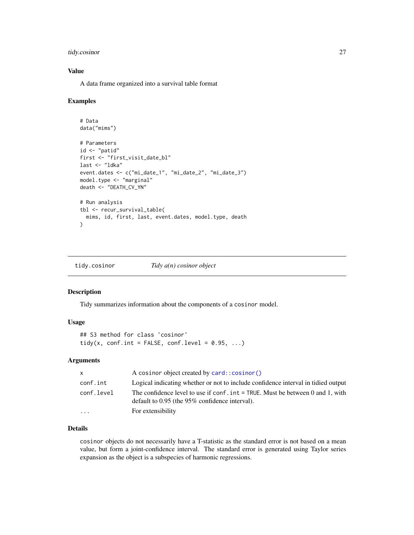## <span id="page-26-0"></span>tidy.cosinor 27

## Value

A data frame organized into a survival table format

#### Examples

```
# Data
data("mims")
# Parameters
id <- "patid"
first <- "first_visit_date_bl"
last <- "ldka"
event.dates <- c("mi_date_1", "mi_date_2", "mi_date_3")
model.type <- "marginal"
death <- "DEATH_CV_YN"
# Run analysis
tbl <- recur_survival_table(
  mims, id, first, last, event.dates, model.type, death
)
```
tidy.cosinor *Tidy a(n) cosinor object*

#### Description

Tidy summarizes information about the components of a cosinor model.

## Usage

```
## S3 method for class 'cosinor'
tidy(x, conf.int = FALSE, conf.level = 0.95, ...)
```
## Arguments

| X          | A cosinor object created by card:: cosinor()                                                                                                                       |
|------------|--------------------------------------------------------------------------------------------------------------------------------------------------------------------|
| conf.int   | Logical indicating whether or not to include confidence interval in tidied output                                                                                  |
| conf.level | The confidence level to use if $\text{conf} \cdot \text{int} = \text{TRUE}$ . Must be between 0 and 1, with<br>default to $0.95$ (the $95\%$ confidence interval). |
| .          | For extensibility                                                                                                                                                  |

## Details

cosinor objects do not necessarily have a T-statistic as the standard error is not based on a mean value, but form a joint-confidence interval. The standard error is generated using Taylor series expansion as the object is a subspecies of harmonic regressions.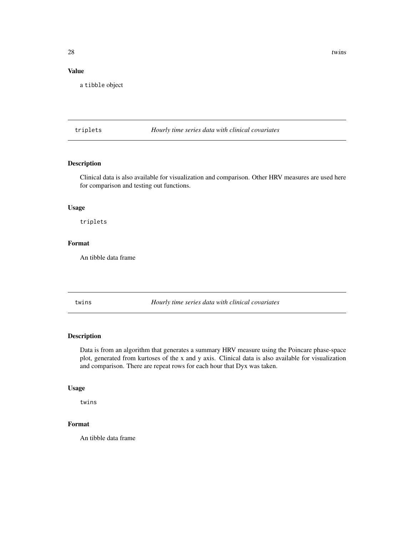## <span id="page-27-0"></span>Value

a tibble object

triplets *Hourly time series data with clinical covariates*

## Description

Clinical data is also available for visualization and comparison. Other HRV measures are used here for comparison and testing out functions.

## Usage

triplets

## Format

An tibble data frame

twins *Hourly time series data with clinical covariates*

## Description

Data is from an algorithm that generates a summary HRV measure using the Poincare phase-space plot, generated from kurtoses of the x and y axis. Clinical data is also available for visualization and comparison. There are repeat rows for each hour that Dyx was taken.

#### Usage

twins

## Format

An tibble data frame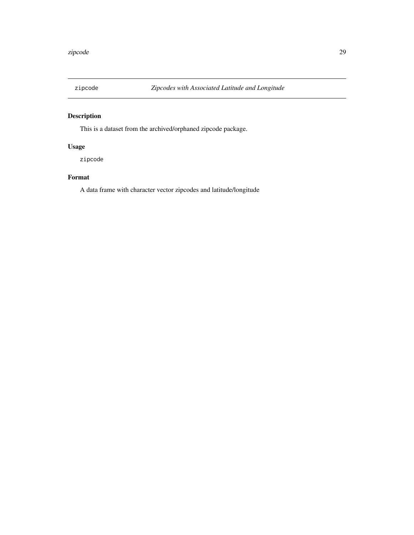<span id="page-28-0"></span>

This is a dataset from the archived/orphaned zipcode package.

## Usage

zipcode

## Format

A data frame with character vector zipcodes and latitude/longitude